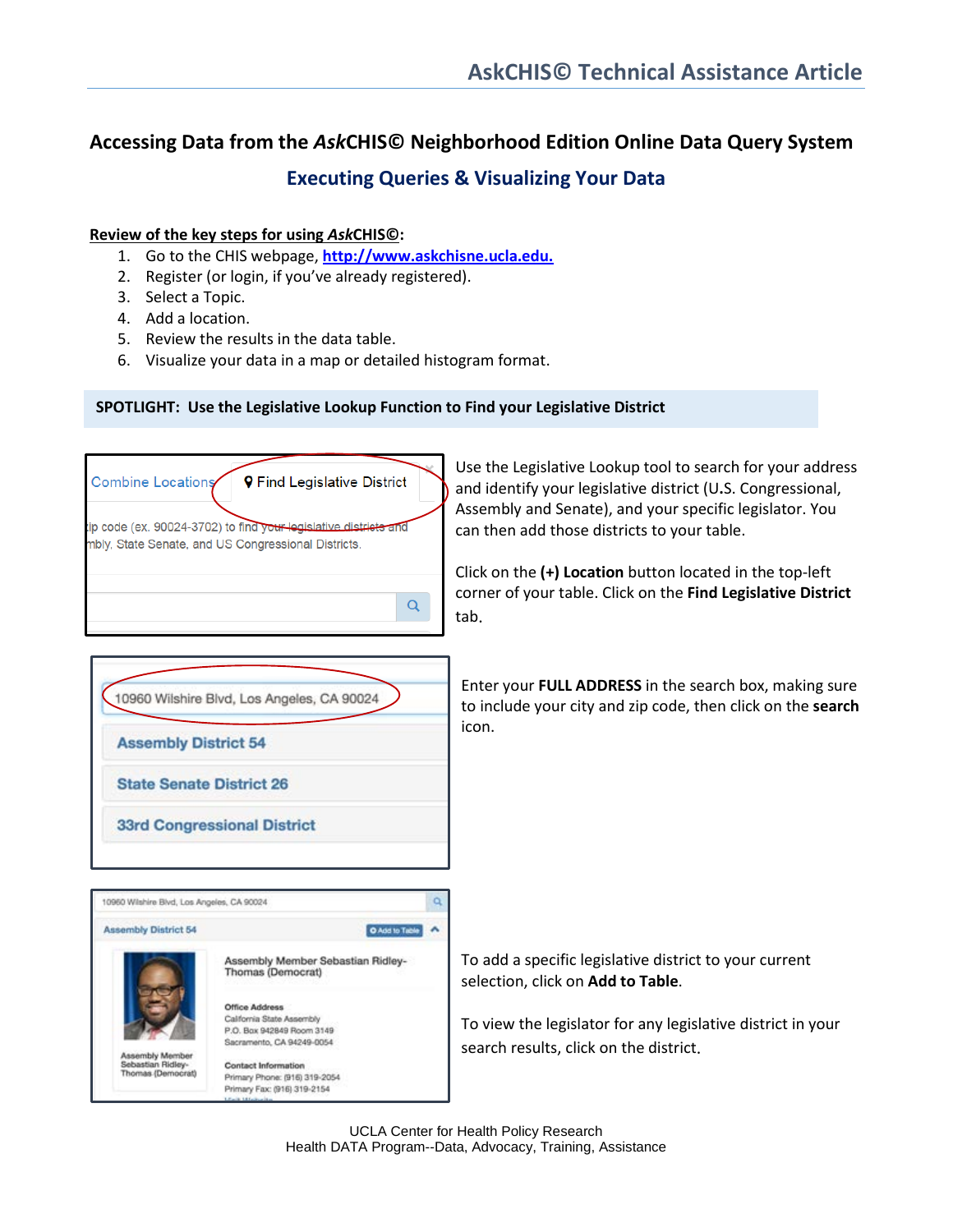## **Accessing Data from the** *Ask***CHIS© Neighborhood Edition Online Data Query System**

### **Executing Queries & Visualizing Your Data**

#### **Review of the key steps for using** *Ask***CHIS©:**

- 1. Go to the CHIS webpage, **[http://www.askchisne.ucla.edu.](http://www.askchisne.ucla.edu/)**
- 2. Register (or login, if you've already registered).
- 3. Select a Topic.
- 4. Add a location.
- 5. Review the results in the data table.
- 6. Visualize your data in a map or detailed histogram format.

#### **SPOTLIGHT: Use the Legislative Lookup Function to Find your Legislative District**



Use the Legislative Lookup tool to search for your address and identify your legislative district (U**.**S. Congressional, Assembly and Senate), and your specific legislator. You can then add those districts to your table.

Click on the **(+) Location** button located in the top-left corner of your table. Click on the **Find Legislative District** tab.



Enter your **FULL ADDRESS** in the search box, making sure to include your city and zip code, then click on the **search** icon.



To add a specific legislative district to your current selection, click on **Add to Table**.

To view the legislator for any legislative district in your search results, click on the district.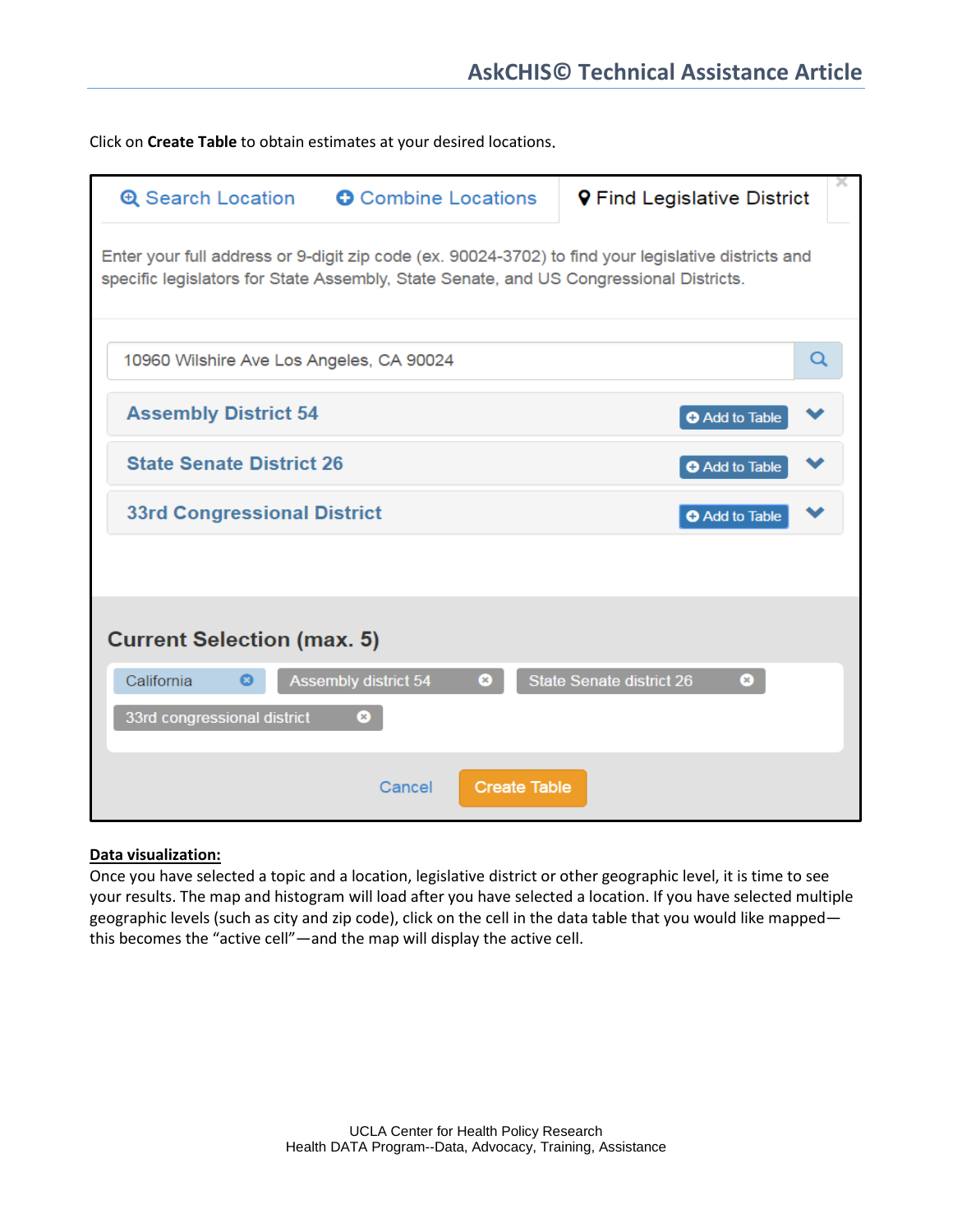Click on **Create Table** to obtain estimates at your desired locations.

| <b>O</b> Combine Locations<br><b>Q</b> Search Location                                                                                                                                        |                                          |                     | <b>9</b> Find Legislative District   |   |  |  |  |
|-----------------------------------------------------------------------------------------------------------------------------------------------------------------------------------------------|------------------------------------------|---------------------|--------------------------------------|---|--|--|--|
| Enter your full address or 9-digit zip code (ex. 90024-3702) to find your legislative districts and<br>specific legislators for State Assembly, State Senate, and US Congressional Districts. |                                          |                     |                                      |   |  |  |  |
|                                                                                                                                                                                               | 10960 Wilshire Ave Los Angeles, CA 90024 |                     |                                      | Q |  |  |  |
| <b>Assembly District 54</b>                                                                                                                                                                   |                                          |                     | <b>O</b> Add to Table                |   |  |  |  |
| <b>State Senate District 26</b>                                                                                                                                                               |                                          |                     | <b>O</b> Add to Table                |   |  |  |  |
| <b>33rd Congressional District</b>                                                                                                                                                            |                                          |                     | <b>O</b> Add to Table                |   |  |  |  |
|                                                                                                                                                                                               |                                          |                     |                                      |   |  |  |  |
| <b>Current Selection (max. 5)</b>                                                                                                                                                             |                                          |                     |                                      |   |  |  |  |
| California                                                                                                                                                                                    | <b>Assembly district 54</b>              | œ,                  | <b>State Senate district 26</b><br>☎ |   |  |  |  |
| 33rd congressional district                                                                                                                                                                   | ◎                                        |                     |                                      |   |  |  |  |
|                                                                                                                                                                                               | Cancel                                   | <b>Create Table</b> |                                      |   |  |  |  |

#### **Data visualization:**

Once you have selected a topic and a location, legislative district or other geographic level, it is time to see your results. The map and histogram will load after you have selected a location. If you have selected multiple geographic levels (such as city and zip code), click on the cell in the data table that you would like mapped this becomes the "active cell"—and the map will display the active cell.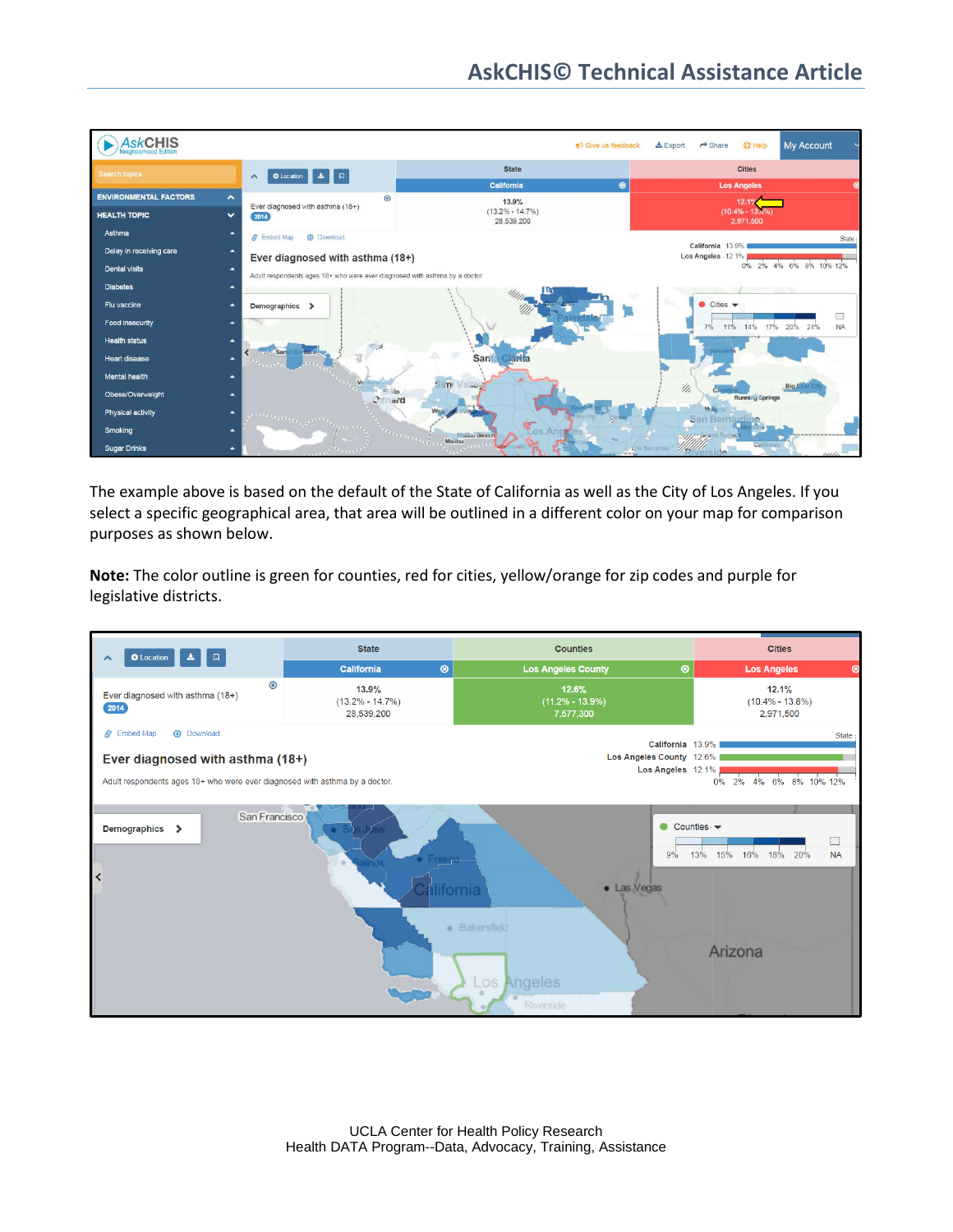

The example above is based on the default of the State of California as well as the City of Los Angeles. If you select a specific geographical area, that area will be outlined in a different color on your map for comparison purposes as shown below.

**Note:** The color outline is green for counties, red for cities, yellow/orange for zip codes and purple for legislative districts.

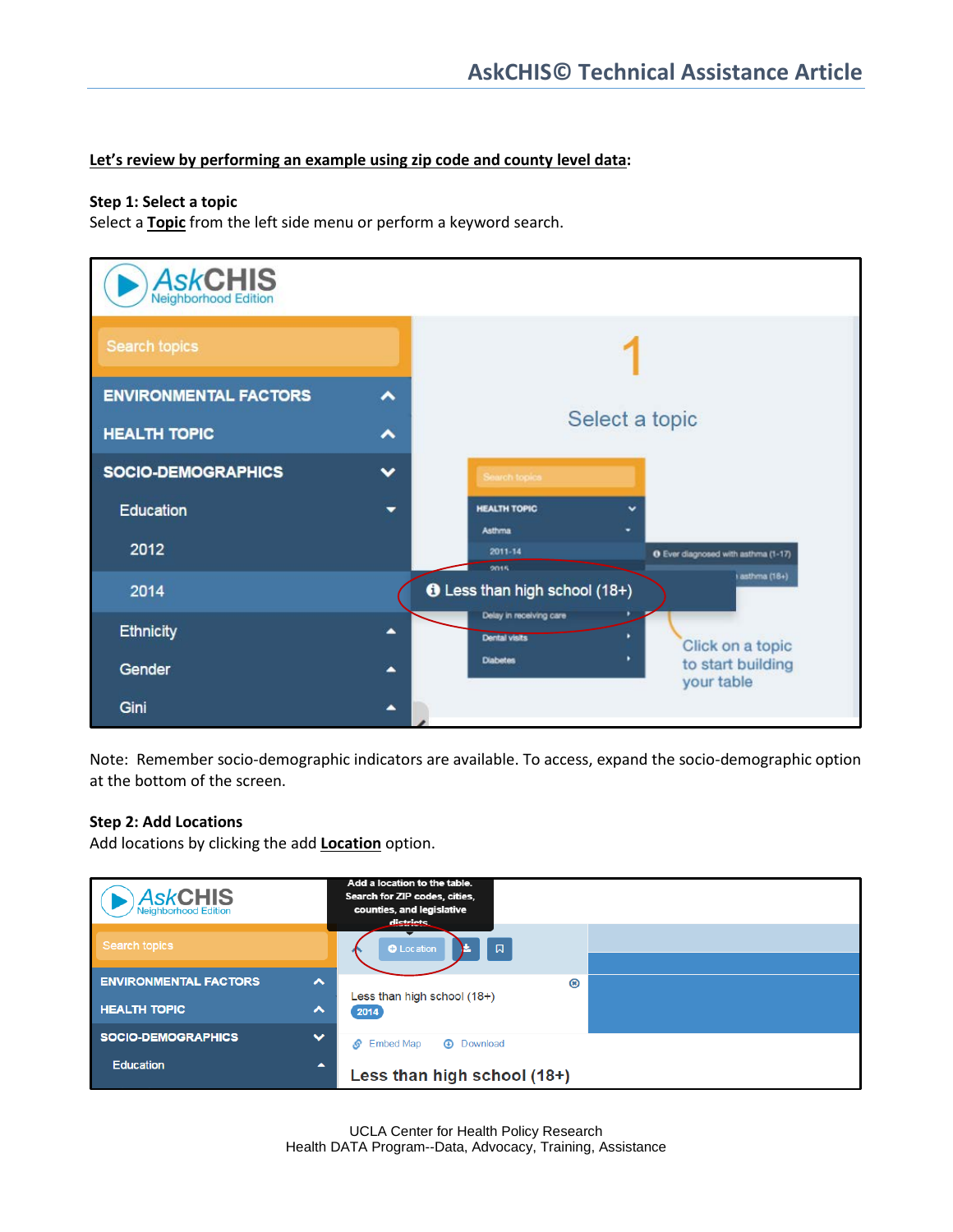#### **Let's review by performing an example using zip code and county level data:**

#### **Step 1: Select a topic**

Select a **Topic** from the left side menu or perform a keyword search.



Note: Remember socio-demographic indicators are available. To access, expand the socio-demographic option at the bottom of the screen.

#### **Step 2: Add Locations**

Add locations by clicking the add **Location** option.

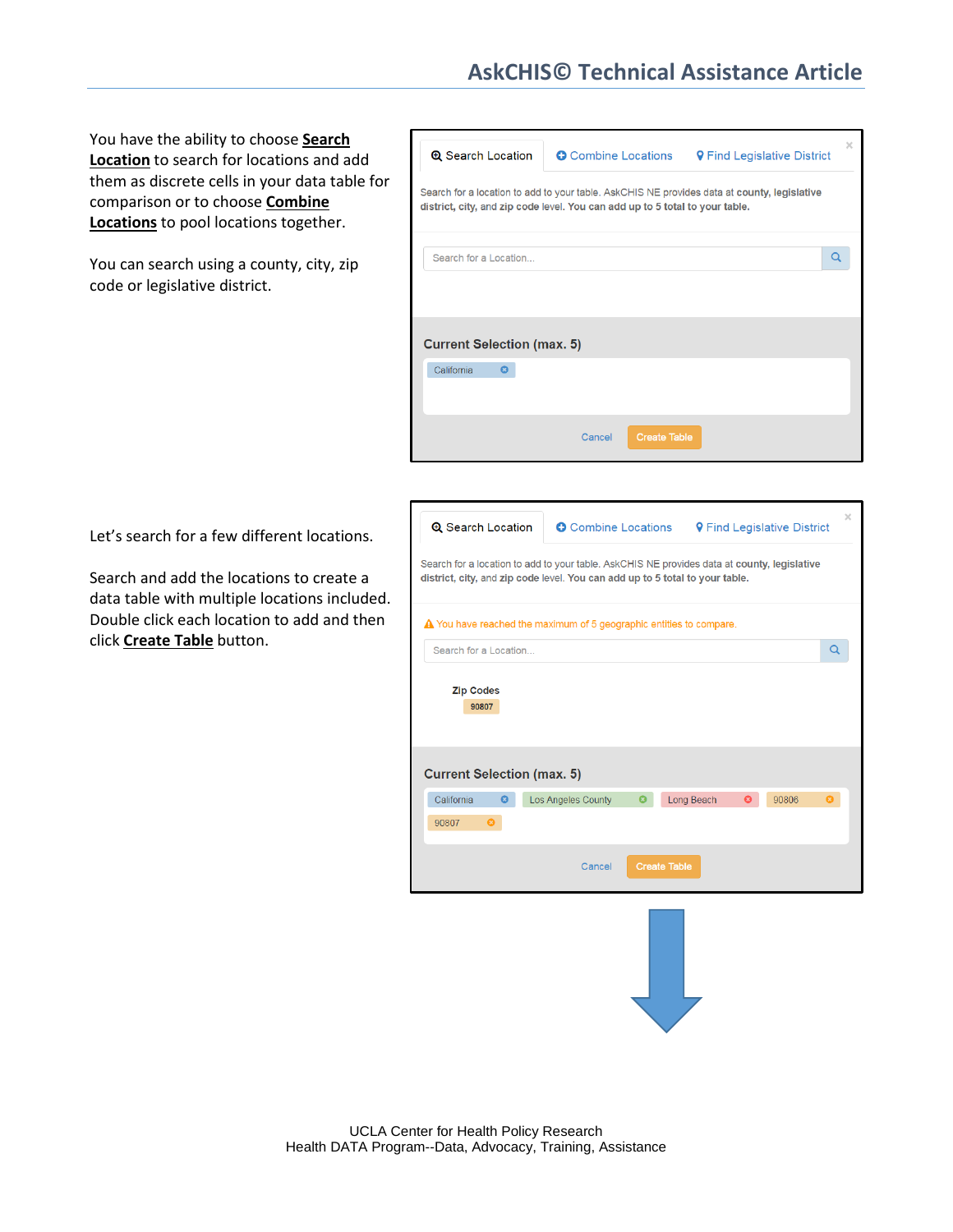# **AskCHIS© Technical Assistance Article**

You have the ability to choose **Search Location** to search for locations and add them as discrete cells in your data table for comparison or to choose **Combine Locations** to pool locations together.

You can search using a county, city, zip code or legislative district.



Let's search for a few different locations.

Search and add the locations to create a data table with multiple locations included. Double click each location to add and then click **Create Table** button.

| <b>Q</b> Search Location                                                                                                                                                    | <b>O</b> Combine Locations     |            |   | <b>9 Find Legislative District</b> | $\times$ |  |  |
|-----------------------------------------------------------------------------------------------------------------------------------------------------------------------------|--------------------------------|------------|---|------------------------------------|----------|--|--|
| Search for a location to add to your table. AskCHIS NE provides data at county, legislative<br>district, city, and zip code level. You can add up to 5 total to your table. |                                |            |   |                                    |          |  |  |
| $\triangle$ You have reached the maximum of 5 geographic entities to compare.                                                                                               |                                |            |   |                                    |          |  |  |
| Search for a Location                                                                                                                                                       |                                |            |   |                                    | Q        |  |  |
| <b>Zip Codes</b><br>90807<br><b>Current Selection (max. 5)</b>                                                                                                              |                                |            |   |                                    |          |  |  |
| California<br>౧                                                                                                                                                             | <b>Los Angeles County</b><br>Q | Long Beach | ධ | 90806                              |          |  |  |
| 90807<br>$\boldsymbol{\Omega}$                                                                                                                                              |                                |            |   |                                    |          |  |  |
| <b>Create Table</b><br>Cancel                                                                                                                                               |                                |            |   |                                    |          |  |  |
|                                                                                                                                                                             |                                |            |   |                                    |          |  |  |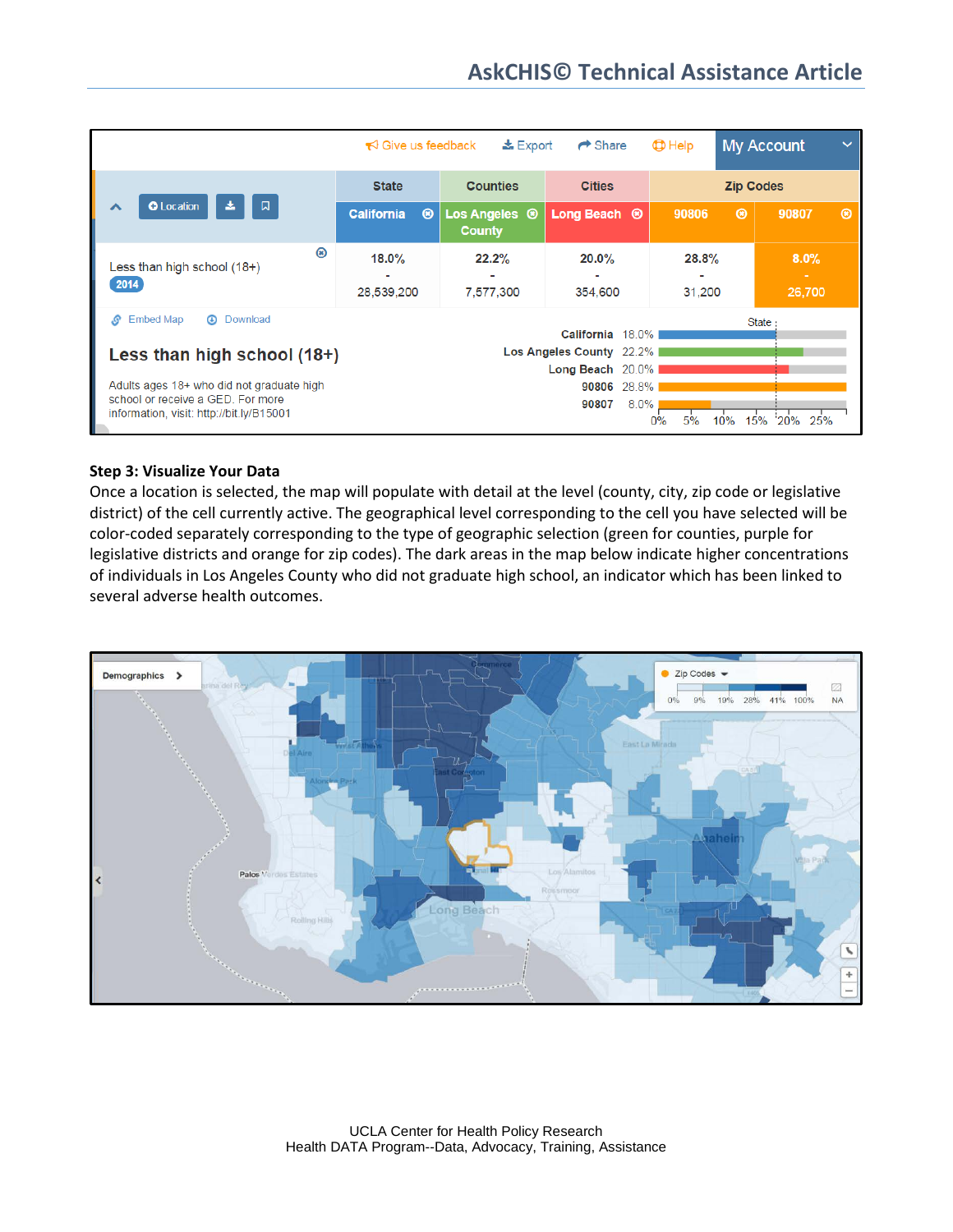|                                                                               | $\frac{1}{26}$ Export<br>$\blacktriangleright$ Give us feedback |                                           | $\rightarrow$ Share     | $\bigoplus$ Help |               | <b>My Account</b> | $\checkmark$  |
|-------------------------------------------------------------------------------|-----------------------------------------------------------------|-------------------------------------------|-------------------------|------------------|---------------|-------------------|---------------|
| <b>O</b> Location<br>口<br>ㅅ                                                   | <b>State</b>                                                    | <b>Counties</b>                           | <b>Cities</b>           | <b>Zip Codes</b> |               |                   |               |
|                                                                               | <b>California</b><br>$\circledcirc$                             | Los Angeles <sup>®</sup><br><b>County</b> | Long Beach <sup>®</sup> | 90806            | $\circledast$ | 90807             | $\circledast$ |
| ⊛<br>Less than high school (18+)                                              | 18.0%                                                           | 22.2%                                     | 20.0%                   | 28.8%            |               | 8.0%              |               |
| 2014                                                                          | 28,539,200                                                      | 7,577,300                                 | 354,600                 | 31,200           |               | $\sim$<br>26,700  |               |
| <b>Embed Map</b><br>S<br>⋒<br>Download<br><b>State</b><br>California 18.0%    |                                                                 |                                           |                         |                  |               |                   |               |
| Less than high school (18+)                                                   | Los Angeles County 22.2%                                        |                                           |                         |                  |               |                   |               |
|                                                                               | Long Beach 20.0%                                                |                                           |                         |                  |               |                   |               |
| Adults ages 18+ who did not graduate high                                     | 90806 28.8%                                                     |                                           |                         |                  |               |                   |               |
| school or receive a GED. For more<br>information, visit: http://bit.ly/B15001 |                                                                 |                                           | $8.0\%$<br>90807        | 0%<br>5%         | 15%<br>10%    | 25%<br>20%        |               |

#### **Step 3: Visualize Your Data**

Once a location is selected, the map will populate with detail at the level (county, city, zip code or legislative district) of the cell currently active. The geographical level corresponding to the cell you have selected will be color-coded separately corresponding to the type of geographic selection (green for counties, purple for legislative districts and orange for zip codes). The dark areas in the map below indicate higher concentrations of individuals in Los Angeles County who did not graduate high school, an indicator which has been linked to several adverse health outcomes.